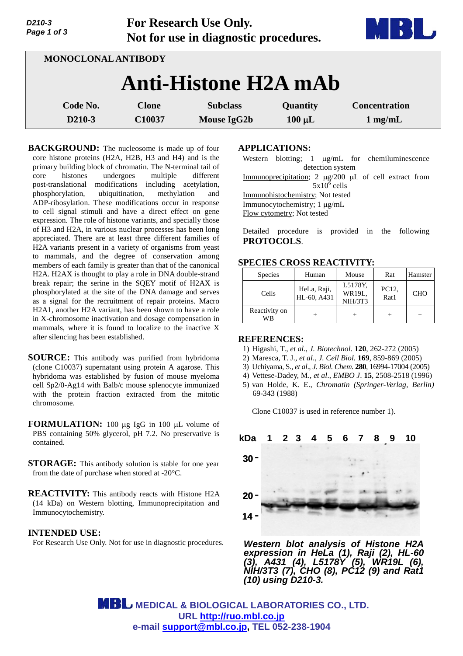| Page 1 of 3                 | Not for use in diagnostic procedures. |                    |             |                      |  |  |  |  |
|-----------------------------|---------------------------------------|--------------------|-------------|----------------------|--|--|--|--|
| <b>MONOCLONAL ANTIBODY</b>  |                                       |                    |             |                      |  |  |  |  |
| <b>Anti-Histone H2A mAb</b> |                                       |                    |             |                      |  |  |  |  |
| Code No.                    | <b>Clone</b>                          | <b>Subclass</b>    | Quantity    | <b>Concentration</b> |  |  |  |  |
| D210-3                      | C10037                                | <b>Mouse IgG2b</b> | $100 \mu L$ | $1 \text{ mg/mL}$    |  |  |  |  |

**For Research Use Only.**

**BACKGROUND:** The nucleosome is made up of four core histone proteins (H2A, H2B, H3 and H4) and is the primary building block of chromatin. The N-terminal tail of core histones undergoes multiple different post-translational modifications including acetylation, phosphorylation, ubiquitination, methylation and ADP-ribosylation. These modifications occur in response to cell signal stimuli and have a direct effect on gene expression. The role of histone variants, and specially those of H3 and H2A, in various nuclear processes has been long appreciated. There are at least three different families of H2A variants present in a variety of organisms from yeast to mammals, and the degree of conservation among members of each family is greater than that of the canonical H2A. H2AX is thought to play a role in DNA double-strand break repair; the serine in the SQEY motif of H2AX is phosphorylated at the site of the DNA damage and serves as a signal for the recruitment of repair proteins. Macro H2A1, another H2A variant, has been shown to have a role in X-chromosome inactivation and dosage compensation in mammals, where it is found to localize to the inactive X after silencing has been established.

**SOURCE:** This antibody was purified from hybridoma (clone C10037) supernatant using protein A agarose. This hybridoma was established by fusion of mouse myeloma cell Sp2/0-Ag14 with Balb/c mouse splenocyte immunized with the protein fraction extracted from the mitotic chromosome.

**FORMULATION:** 100 µg IgG in 100 µL volume of PBS containing 50% glycerol, pH 7.2. No preservative is contained.

- **STORAGE:** This antibody solution is stable for one year from the date of purchase when stored at -20°C.
- **REACTIVITY:** This antibody reacts with Histone H2A (14 kDa) on Western blotting, Immunoprecipitation and Immunocytochemistry.

## **INTENDED USE:**

*D210-3*

For Research Use Only. Not for use in diagnostic procedures.

## **APPLICATIONS:**

Western blotting;  $1 \mu g/mL$  for chemiluminescence detection system Immunoprecipitation;  $2 \mu g/200 \mu L$  of cell extract from  $5x10^6$  cells Immunohistochemistry; Not tested Immunocytochemistry; 1 µg/mL Flow cytometry; Not tested

Detailed procedure is provided in the following **PROTOCOLS**.

## **SPECIES CROSS REACTIVITY:**

| <b>Species</b>      | Human                      | Mouse                               | Rat           | Hamster    |
|---------------------|----------------------------|-------------------------------------|---------------|------------|
| Cells               | HeLa, Raji,<br>HL-60, A431 | L5178Y,<br>WR19L.<br><b>NIH/3T3</b> | PC12,<br>Rat1 | <b>CHO</b> |
| Reactivity on<br>WВ |                            |                                     |               |            |

## **REFERENCES:**

- 1) Higashi, T., *et al*., *J. Biotechnol.* **120**, 262-272 (2005)
- 2) Maresca, T. J., *et al*., *J. Cell Biol.* **169**, 859-869 (2005)
- 3) Uchiyama, S., *et al*., *J. Biol. Chem.* **280**, 16994-17004 (2005)
- 4) Vettese-Dadey, M., *et al*., *EMBO J*. **15**, 2508-2518 (1996)
- 5) van Holde, K. E., *Chromatin (Springer-Verlag, Berlin)* 69-343 (1988)

Clone C10037 is used in reference number 1).



*Western blot analysis of Histone H2A expression in HeLa (1), Raji (2), HL-60 (3), A431 (4), L5178Y (5), WR19L (6), NIH/3T3 (7), CHO (8), PC12 (9) and Rat1 (10) using D210-3.*

 **MEDICAL & BIOLOGICAL LABORATORIES CO., LTD. URL <http://ruo.mbl.co.jp> e-mail [support@mbl.co.jp,](mailto:support@mbl.co.jp) TEL 052-238-1904**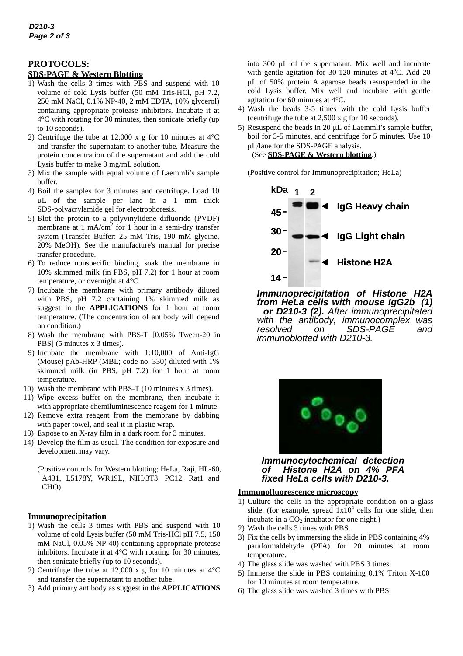# **PROTOCOLS:**

### **SDS-PAGE & Western Blotting**

- 1) Wash the cells 3 times with PBS and suspend with 10 volume of cold Lysis buffer (50 mM Tris-HCl, pH 7.2, 250 mM NaCl, 0.1% NP-40, 2 mM EDTA, 10% glycerol) containing appropriate protease inhibitors. Incubate it at 4°C with rotating for 30 minutes, then sonicate briefly (up to 10 seconds).
- 2) Centrifuge the tube at 12,000 x g for 10 minutes at 4°C and transfer the supernatant to another tube. Measure the protein concentration of the supernatant and add the cold Lysis buffer to make 8 mg/mL solution.
- 3) Mix the sample with equal volume of Laemmli's sample buffer.
- 4) Boil the samples for 3 minutes and centrifuge. Load 10 L of the sample per lane in a 1 mm thick SDS-polyacrylamide gel for electrophoresis.
- 5) Blot the protein to a polyvinylidene difluoride (PVDF) membrane at  $1 \text{ mA/cm}^2$  for  $1 \text{ hour}$  in a semi-dry transfer system (Transfer Buffer: 25 mM Tris, 190 mM glycine, 20% MeOH). See the manufacture's manual for precise transfer procedure.
- 6) To reduce nonspecific binding, soak the membrane in 10% skimmed milk (in PBS, pH 7.2) for 1 hour at room temperature, or overnight at 4°C.
- 7) Incubate the membrane with primary antibody diluted with PBS, pH 7.2 containing 1% skimmed milk as suggest in the **APPLICATIONS** for 1 hour at room temperature. (The concentration of antibody will depend on condition.)
- 8) Wash the membrane with PBS-T [0.05% Tween-20 in PBS] (5 minutes x 3 times).
- 9) Incubate the membrane with 1:10,000 of Anti-IgG (Mouse) pAb-HRP (MBL; code no. 330) diluted with 1% skimmed milk (in PBS, pH 7.2) for 1 hour at room temperature.
- 10) Wash the membrane with PBS-T (10 minutes x 3 times).
- 11) Wipe excess buffer on the membrane, then incubate it with appropriate chemiluminescence reagent for 1 minute.
- 12) Remove extra reagent from the membrane by dabbing with paper towel, and seal it in plastic wrap.
- 13) Expose to an X-ray film in a dark room for 3 minutes.
- 14) Develop the film as usual. The condition for exposure and development may vary.

(Positive controls for Western blotting; HeLa, Raji, HL-60, A431, L5178Y, WR19L, NIH/3T3, PC12, Rat1 and CHO)

### **Immunoprecipitation**

- 1) Wash the cells 3 times with PBS and suspend with 10 volume of cold Lysis buffer (50 mM Tris-HCl pH 7.5, 150 mM NaCl, 0.05% NP-40) containing appropriate protease inhibitors. Incubate it at 4°C with rotating for 30 minutes, then sonicate briefly (up to 10 seconds).
- 2) Centrifuge the tube at 12,000 x g for 10 minutes at  $4^{\circ}$ C and transfer the supernatant to another tube.
- 3) Add primary antibody as suggest in the **APPLICATIONS**

into 300 µL of the supernatant. Mix well and incubate with gentle agitation for 30-120 minutes at  $4^{\circ}$ C. Add 20 L of 50% protein A agarose beads resuspended in the cold Lysis buffer. Mix well and incubate with gentle agitation for 60 minutes at 4°C.

- 4) Wash the beads 3-5 times with the cold Lysis buffer (centrifuge the tube at 2,500 x g for 10 seconds).
- 5) Resuspend the beads in 20  $\mu$ L of Laemmli's sample buffer, boil for 3-5 minutes, and centrifuge for 5 minutes. Use 10 L/lane for the SDS-PAGE analysis. (See **SDS-PAGE & Western blotting**.)

(Positive control for Immunoprecipitation; HeLa)



*Immunoprecipitation of Histone H2A from HeLa cells with mouse IgG2b (1) or D210-3 (2). After immunoprecipitated with the antibody, immunocomplex was resolved on SDS-PAGE and immunoblotted with D210-3.* 



*Immunocytochemical detection of Histone H2A on 4% PFA fixed HeLa cells with D210-3.*

### **Immunofluorescence microscopy**

- 1) Culture the cells in the appropriate condition on a glass slide. (for example, spread  $1x10^4$  cells for one slide, then incubate in a  $CO<sub>2</sub>$  incubator for one night.)
- 2) Wash the cells 3 times with PBS.
- 3) Fix the cells by immersing the slide in PBS containing 4% paraformaldehyde (PFA) for 20 minutes at room temperature.
- 4) The glass slide was washed with PBS 3 times.
- 5) Immerse the slide in PBS containing 0.1% Triton X-100 for 10 minutes at room temperature.
- 6) The glass slide was washed 3 times with PBS.